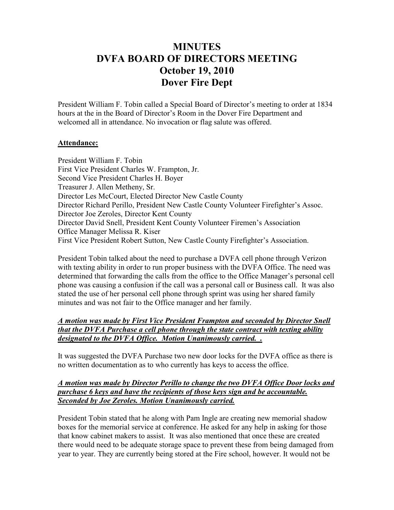# **MINUTES DVFA BOARD OF DIRECTORS MEETING October 19, 2010 Dover Fire Dept**

President William F. Tobin called a Special Board of Director's meeting to order at 1834 hours at the in the Board of Director's Room in the Dover Fire Department and welcomed all in attendance. No invocation or flag salute was offered.

### **Attendance:**

President William F. Tobin First Vice President Charles W. Frampton, Jr. Second Vice President Charles H. Boyer Treasurer J. Allen Metheny, Sr. Director Les McCourt, Elected Director New Castle County Director Richard Perillo, President New Castle County Volunteer Firefighter's Assoc. Director Joe Zeroles, Director Kent County Director David Snell, President Kent County Volunteer Firemen's Association Office Manager Melissa R. Kiser First Vice President Robert Sutton, New Castle County Firefighter's Association.

President Tobin talked about the need to purchase a DVFA cell phone through Verizon with texting ability in order to run proper business with the DVFA Office. The need was determined that forwarding the calls from the office to the Office Manager's personal cell phone was causing a confusion if the call was a personal call or Business call. It was also stated the use of her personal cell phone through sprint was using her shared family minutes and was not fair to the Office manager and her family.

## *A motion was made by First Vice President Frampton and seconded by Director Snell that the DVFA Purchase a cell phone through the state contract with texting ability designated to the DVFA Office. Motion Unanimously carried. .*

It was suggested the DVFA Purchase two new door locks for the DVFA office as there is no written documentation as to who currently has keys to access the office.

#### *A motion was made by Director Perillo to change the two DVFA Office Door locks and purchase 6 keys and have the recipients of those keys sign and be accountable. Seconded by Joe Zeroles. Motion Unanimously carried.*

President Tobin stated that he along with Pam Ingle are creating new memorial shadow boxes for the memorial service at conference. He asked for any help in asking for those that know cabinet makers to assist. It was also mentioned that once these are created there would need to be adequate storage space to prevent these from being damaged from year to year. They are currently being stored at the Fire school, however. It would not be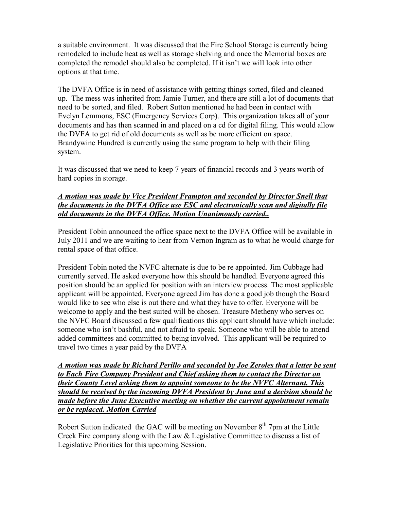a suitable environment. It was discussed that the Fire School Storage is currently being remodeled to include heat as well as storage shelving and once the Memorial boxes are completed the remodel should also be completed. If it isn't we will look into other options at that time.

The DVFA Office is in need of assistance with getting things sorted, filed and cleaned up. The mess was inherited from Jamie Turner, and there are still a lot of documents that need to be sorted, and filed. Robert Sutton mentioned he had been in contact with Evelyn Lemmons, ESC (Emergency Services Corp). This organization takes all of your documents and has then scanned in and placed on a cd for digital filing. This would allow the DVFA to get rid of old documents as well as be more efficient on space. Brandywine Hundred is currently using the same program to help with their filing system.

It was discussed that we need to keep 7 years of financial records and 3 years worth of hard copies in storage.

#### *A motion was made by Vice President Frampton and seconded by Director Snell that the documents in the DVFA Office use ESC and electronically scan and digitally file old documents in the DVFA Office. Motion Unanimously carried..*

President Tobin announced the office space next to the DVFA Office will be available in July 2011 and we are waiting to hear from Vernon Ingram as to what he would charge for rental space of that office.

President Tobin noted the NVFC alternate is due to be re appointed. Jim Cubbage had currently served. He asked everyone how this should be handled. Everyone agreed this position should be an applied for position with an interview process. The most applicable applicant will be appointed. Everyone agreed Jim has done a good job though the Board would like to see who else is out there and what they have to offer. Everyone will be welcome to apply and the best suited will be chosen. Treasure Metheny who serves on the NVFC Board discussed a few qualifications this applicant should have which include: someone who isn't bashful, and not afraid to speak. Someone who will be able to attend added committees and committed to being involved. This applicant will be required to travel two times a year paid by the DVFA

*A motion was made by Richard Perillo and seconded by Joe Zeroles that a letter be sent to Each Fire Company President and Chief asking them to contact the Director on their County Level asking them to appoint someone to be the NVFC Alternant. This should be received by the incoming DVFA President by June and a decision should be made before the June Executive meeting on whether the current appointment remain or be replaced. Motion Carried*

Robert Sutton indicated the GAC will be meeting on November  $8<sup>th</sup>$  7pm at the Little Creek Fire company along with the Law & Legislative Committee to discuss a list of Legislative Priorities for this upcoming Session.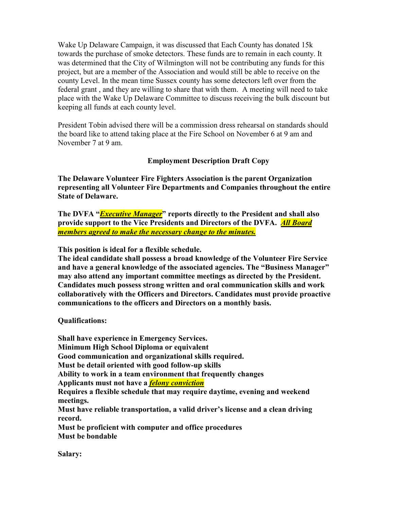Wake Up Delaware Campaign, it was discussed that Each County has donated 15k towards the purchase of smoke detectors. These funds are to remain in each county. It was determined that the City of Wilmington will not be contributing any funds for this project, but are a member of the Association and would still be able to receive on the county Level. In the mean time Sussex county has some detectors left over from the federal grant , and they are willing to share that with them. A meeting will need to take place with the Wake Up Delaware Committee to discuss receiving the bulk discount but keeping all funds at each county level.

President Tobin advised there will be a commission dress rehearsal on standards should the board like to attend taking place at the Fire School on November 6 at 9 am and November 7 at 9 am.

## **Employment Description Draft Copy**

**The Delaware Volunteer Fire Fighters Association is the parent Organization representing all Volunteer Fire Departments and Companies throughout the entire State of Delaware.** 

**The DVFA "***Executive Manager***" reports directly to the President and shall also provide support to the Vice Presidents and Directors of the DVFA.** *All Board members agreed to make the necessary change to the minutes.*

**This position is ideal for a flexible schedule.** 

**The ideal candidate shall possess a broad knowledge of the Volunteer Fire Service and have a general knowledge of the associated agencies. The "Business Manager" may also attend any important committee meetings as directed by the President. Candidates much possess strong written and oral communication skills and work collaboratively with the Officers and Directors. Candidates must provide proactive communications to the officers and Directors on a monthly basis.** 

**Qualifications:** 

**Shall have experience in Emergency Services. Minimum High School Diploma or equivalent Good communication and organizational skills required. Must be detail oriented with good follow-up skills Ability to work in a team environment that frequently changes Applicants must not have a** *felony conviction* **Requires a flexible schedule that may require daytime, evening and weekend meetings. Must have reliable transportation, a valid driver's license and a clean driving record. Must be proficient with computer and office procedures Must be bondable** 

**Salary:**